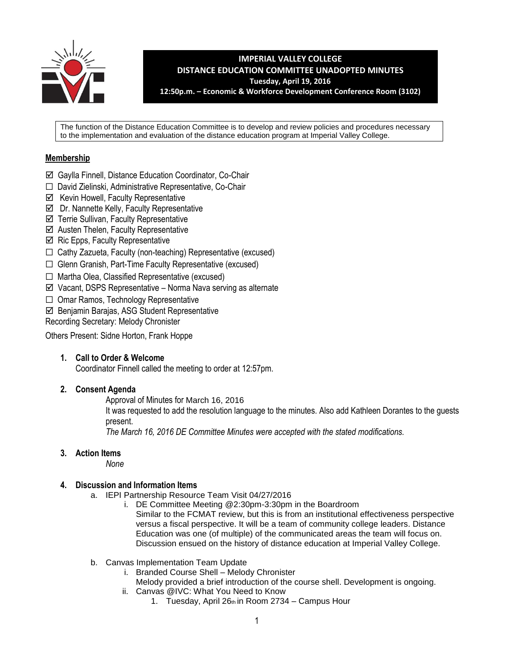

**IMPERIAL VALLEY COLLEGE DISTANCE EDUCATION COMMITTEE UNADOPTED MINUTES Tuesday, April 19, 2016 12:50p.m. – Economic & Workforce Development Conference Room (3102)**

The function of the Distance Education Committee is to develop and review policies and procedures necessary to the implementation and evaluation of the distance education program at Imperial Valley College.

# **Membership**

- Gaylla Finnell, Distance Education Coordinator, Co-Chair
- ☐ David Zielinski, Administrative Representative, Co-Chair
- $\boxtimes$  Kevin Howell, Faculty Representative
- $\boxtimes$  Dr. Nannette Kelly, Faculty Representative
- $\boxtimes$  Terrie Sullivan, Faculty Representative
- $\boxtimes$  Austen Thelen, Faculty Representative
- $\boxtimes$  Ric Epps, Faculty Representative
- $\Box$  Cathy Zazueta, Faculty (non-teaching) Representative (excused)
- ☐ Glenn Granish, Part-Time Faculty Representative (excused)
- ☐ Martha Olea, Classified Representative (excused)
- $\boxtimes$  Vacant, DSPS Representative Norma Nava serving as alternate
- ☐ Omar Ramos, Technology Representative
- Benjamin Barajas, ASG Student Representative

Recording Secretary: Melody Chronister

Others Present: Sidne Horton, Frank Hoppe

# **1. Call to Order & Welcome**

Coordinator Finnell called the meeting to order at 12:57pm.

# **2. Consent Agenda**

Approval of Minutes for March 16, 2016

It was requested to add the resolution language to the minutes. Also add Kathleen Dorantes to the guests present.

*The March 16, 2016 DE Committee Minutes were accepted with the stated modifications.* 

# **3. Action Items**

*None*

# **4. Discussion and Information Items**

- a. IEPI Partnership Resource Team Visit 04/27/2016
	- i. DE Committee Meeting @2:30pm-3:30pm in the Boardroom Similar to the FCMAT review, but this is from an institutional effectiveness perspective versus a fiscal perspective. It will be a team of community college leaders. Distance Education was one (of multiple) of the communicated areas the team will focus on. Discussion ensued on the history of distance education at Imperial Valley College.
- b. Canvas Implementation Team Update
	- i. Branded Course Shell Melody Chronister
	- Melody provided a brief introduction of the course shell. Development is ongoing.
	- ii. Canvas @IVC: What You Need to Know
		- 1. Tuesday, April  $26<sub>th</sub>$  in Room 2734 Campus Hour